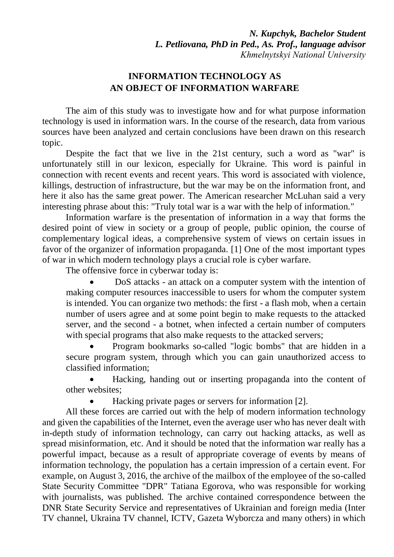*N. Kupchyk, Bachelor Student L. Petliovana, PhD in Ped., As. Prof., language advisor Khmelnytskyi National University*

## **INFORMATION TECHNOLOGY AS AN OBJECT OF INFORMATION WARFARE**

The aim of this study was to investigate how and for what purpose information technology is used in information wars. In the course of the research, data from various sources have been analyzed and certain conclusions have been drawn on this research topic.

Despite the fact that we live in the 21st century, such a word as "war" is unfortunately still in our lexicon, especially for Ukraine. This word is painful in connection with recent events and recent years. This word is associated with violence, killings, destruction of infrastructure, but the war may be on the information front, and here it also has the same great power. The American researcher McLuhan said a very interesting phrase about this: "Truly total war is a war with the help of information."

Information warfare is the presentation of information in a way that forms the desired point of view in society or a group of people, public opinion, the course of complementary logical ideas, a comprehensive system of views on certain issues in favor of the organizer of information propaganda. [1] One of the most important types of war in which modern technology plays a crucial role is cyber warfare.

The offensive force in cyberwar today is:

 DoS attacks - an attack on a computer system with the intention of making computer resources inaccessible to users for whom the computer system is intended. You can organize two methods: the first - a flash mob, when a certain number of users agree and at some point begin to make requests to the attacked server, and the second - a botnet, when infected a certain number of computers with special programs that also make requests to the attacked servers;

 Program bookmarks so-called "logic bombs" that are hidden in a secure program system, through which you can gain unauthorized access to classified information;

 Hacking, handing out or inserting propaganda into the content of other websites;

Hacking private pages or servers for information [2].

All these forces are carried out with the help of modern information technology and given the capabilities of the Internet, even the average user who has never dealt with in-depth study of information technology, can carry out hacking attacks, as well as spread misinformation, etc. And it should be noted that the information war really has a powerful impact, because as a result of appropriate coverage of events by means of information technology, the population has a certain impression of a certain event. For example, on August 3, 2016, the archive of the mailbox of the employee of the so-called State Security Committee "DPR" Tatiana Egorova, who was responsible for working with journalists, was published. The archive contained correspondence between the DNR State Security Service and representatives of Ukrainian and foreign media (Inter TV channel, Ukraina TV channel, ICTV, Gazeta Wyborcza and many others) in which